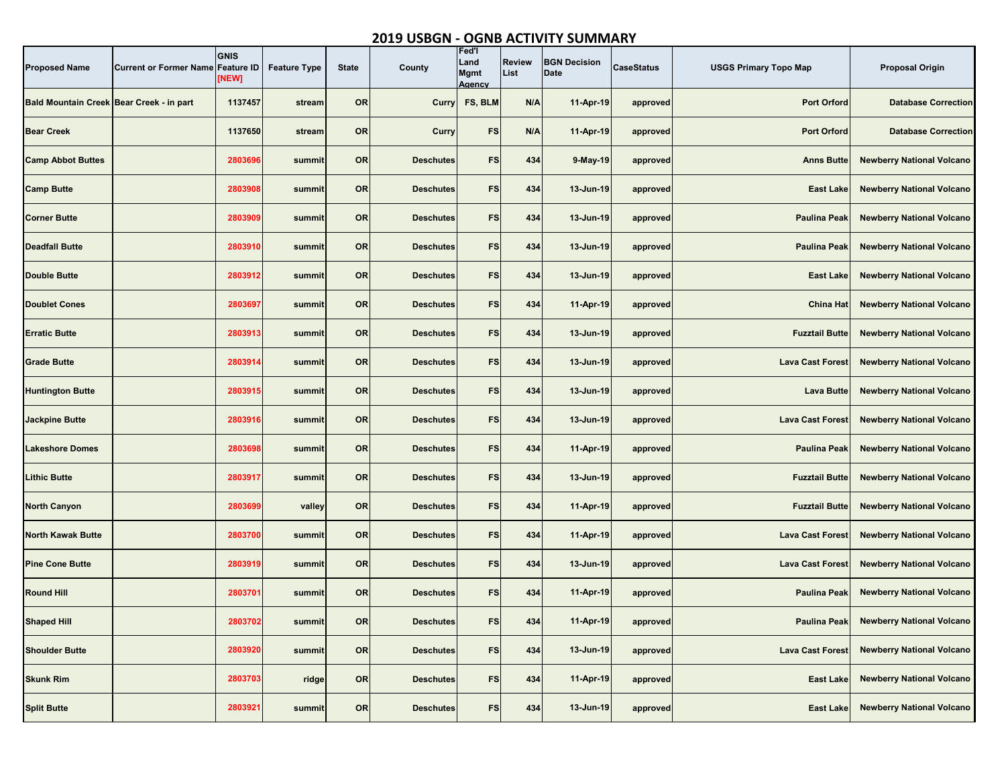## **2019 USBGN - OGNB ACTIVITY SUMMARY**

| <b>Proposed Name</b>                     | <b>Current or Former Name</b> | <b>GNIS</b><br><b>Feature ID</b><br>[NEW] | <b>Feature Type</b> | <b>State</b> | County           | Fed'l<br>Land<br><b>Mgmt</b><br><b>Agency</b> | <b>Review</b><br>List | <b>BGN Decision</b><br><b>Date</b> | <b>CaseStatus</b> | <b>USGS Primary Topo Map</b> | <b>Proposal Origin</b>           |
|------------------------------------------|-------------------------------|-------------------------------------------|---------------------|--------------|------------------|-----------------------------------------------|-----------------------|------------------------------------|-------------------|------------------------------|----------------------------------|
| Bald Mountain Creek Bear Creek - in part |                               | 1137457                                   | stream              | <b>OR</b>    | Curry            | FS, BLM                                       | N/A                   | 11-Apr-19                          | approved          | <b>Port Orford</b>           | <b>Database Correction</b>       |
| <b>Bear Creek</b>                        |                               | 1137650                                   | stream              | <b>OR</b>    | Curry            | <b>FS</b>                                     | N/A                   | 11-Apr-19                          | approved          | <b>Port Orford</b>           | <b>Database Correction</b>       |
| <b>Camp Abbot Buttes</b>                 |                               | 2803696                                   | summit              | <b>OR</b>    | <b>Deschutes</b> | <b>FS</b>                                     | 434                   | 9-May-19                           | approved          | <b>Anns Butte</b>            | <b>Newberry National Volcano</b> |
| <b>Camp Butte</b>                        |                               | 2803908                                   | summit              | <b>OR</b>    | <b>Deschutes</b> | <b>FS</b>                                     | 434                   | 13-Jun-19                          | approved          | <b>East Lake</b>             | <b>Newberry National Volcano</b> |
| <b>Corner Butte</b>                      |                               | 2803909                                   | summit              | <b>OR</b>    | <b>Deschutes</b> | <b>FS</b>                                     | 434                   | 13-Jun-19                          | approved          | <b>Paulina Peak</b>          | <b>Newberry National Volcano</b> |
| <b>Deadfall Butte</b>                    |                               | 2803910                                   | summit              | <b>OR</b>    | <b>Deschutes</b> | <b>FS</b>                                     | 434                   | 13-Jun-19                          | approved          | <b>Paulina Peak</b>          | <b>Newberry National Volcano</b> |
| <b>Double Butte</b>                      |                               | 2803912                                   | summit              | <b>OR</b>    | <b>Deschutes</b> | <b>FS</b>                                     | 434                   | 13-Jun-19                          | approved          | <b>East Lake</b>             | <b>Newberry National Volcano</b> |
| <b>Doublet Cones</b>                     |                               | 2803697                                   | summit              | <b>OR</b>    | <b>Deschutes</b> | <b>FS</b>                                     | 434                   | 11-Apr-19                          | approved          | <b>China Hat</b>             | <b>Newberry National Volcano</b> |
| <b>Erratic Butte</b>                     |                               | 2803913                                   | summit              | <b>OR</b>    | <b>Deschutes</b> | FS                                            | 434                   | 13-Jun-19                          | approved          | <b>Fuzztail Butte</b>        | <b>Newberry National Volcano</b> |
| <b>Grade Butte</b>                       |                               | 2803914                                   | summit              | <b>OR</b>    | <b>Deschutes</b> | <b>FS</b>                                     | 434                   | 13-Jun-19                          | approved          | <b>Lava Cast Forest</b>      | <b>Newberry National Volcano</b> |
| <b>Huntington Butte</b>                  |                               | 2803915                                   | summit              | <b>OR</b>    | <b>Deschutes</b> | <b>FS</b>                                     | 434                   | 13-Jun-19                          | approved          | <b>Lava Butte</b>            | <b>Newberry National Volcano</b> |
| <b>Jackpine Butte</b>                    |                               | 2803916                                   | summit              | <b>OR</b>    | <b>Deschutes</b> | <b>FS</b>                                     | 434                   | 13-Jun-19                          | approved          | <b>Lava Cast Forest</b>      | <b>Newberry National Volcano</b> |
| <b>Lakeshore Domes</b>                   |                               | 2803698                                   | summit              | <b>OR</b>    | <b>Deschutes</b> | <b>FS</b>                                     | 434                   | 11-Apr-19                          | approved          | <b>Paulina Peak</b>          | <b>Newberry National Volcano</b> |
| <b>Lithic Butte</b>                      |                               | 2803917                                   | summit              | <b>OR</b>    | <b>Deschutes</b> | <b>FS</b>                                     | 434                   | 13-Jun-19                          | approved          | <b>Fuzztail Butte</b>        | <b>Newberry National Volcano</b> |
| <b>North Canyon</b>                      |                               | 2803699                                   | valley              | <b>OR</b>    | <b>Deschutes</b> | <b>FS</b>                                     | 434                   | 11-Apr-19                          | approved          | <b>Fuzztail Butte</b>        | <b>Newberry National Volcano</b> |
| <b>North Kawak Butte</b>                 |                               | 2803700                                   | summit              | <b>OR</b>    | <b>Deschutes</b> | <b>FS</b>                                     | 434                   | 11-Apr-19                          | approved          | <b>Lava Cast Forest</b>      | <b>Newberry National Volcano</b> |
| <b>Pine Cone Butte</b>                   |                               | 2803919                                   | summit              | <b>OR</b>    | <b>Deschutes</b> | <b>FS</b>                                     | 434                   | 13-Jun-19                          | approved          | <b>Lava Cast Forest</b>      | <b>Newberry National Volcano</b> |
| <b>Round Hill</b>                        |                               | 2803701                                   | summit              | <b>OR</b>    | <b>Deschutes</b> | FS                                            | 434                   | 11-Apr-19                          | approved          | <b>Paulina Peak</b>          | <b>Newberry National Volcano</b> |
| <b>Shaped Hill</b>                       |                               | 2803702                                   | summit              | <b>OR</b>    | <b>Deschutes</b> | <b>FS</b>                                     | 434                   | 11-Apr-19                          | approved          | <b>Paulina Peak</b>          | <b>Newberry National Volcano</b> |
| <b>Shoulder Butte</b>                    |                               | 2803920                                   | summit              | OR           | <b>Deschutes</b> | <b>FS</b>                                     | 434                   | 13-Jun-19                          | approved          | <b>Lava Cast Forest</b>      | <b>Newberry National Volcano</b> |
| <b>Skunk Rim</b>                         |                               | 2803703                                   | ridge               | <b>OR</b>    | <b>Deschutes</b> | <b>FS</b>                                     | 434                   | 11-Apr-19                          | approved          | <b>East Lake</b>             | <b>Newberry National Volcano</b> |
| <b>Split Butte</b>                       |                               | 2803921                                   | summit              | <b>OR</b>    | <b>Deschutes</b> | <b>FS</b>                                     | 434                   | 13-Jun-19                          | approved          | <b>East Lake</b>             | <b>Newberry National Volcano</b> |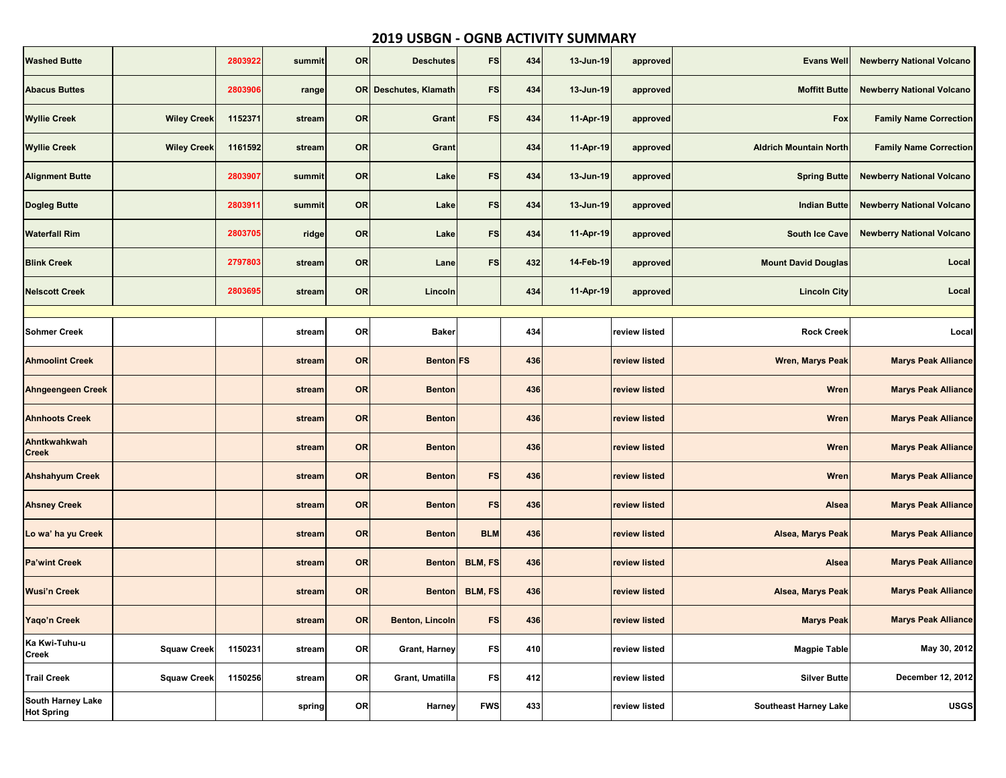## **2019 USBGN - OGNB ACTIVITY SUMMARY**

| <b>Washed Butte</b>                           |                    | 2803922 | summit | <b>OR</b> | <b>Deschutes</b>             | <b>FS</b>      | 434 | 13-Jun-19 | approved      | <b>Evans Well</b>             | <b>Newberry National Volcano</b> |
|-----------------------------------------------|--------------------|---------|--------|-----------|------------------------------|----------------|-----|-----------|---------------|-------------------------------|----------------------------------|
| <b>Abacus Buttes</b>                          |                    | 2803906 | range  |           | <b>OR</b> Deschutes, Klamath | <b>FS</b>      | 434 | 13-Jun-19 | approved      | <b>Moffitt Butte</b>          | <b>Newberry National Volcano</b> |
| <b>Wyllie Creek</b>                           | <b>Wiley Creek</b> | 1152371 | stream | <b>OR</b> | Grant                        | <b>FS</b>      | 434 | 11-Apr-19 | approved      | Fox                           | <b>Family Name Correction</b>    |
| <b>Wyllie Creek</b>                           | <b>Wiley Creek</b> | 1161592 | stream | <b>OR</b> | Grant                        |                | 434 | 11-Apr-19 | approved      | <b>Aldrich Mountain North</b> | <b>Family Name Correction</b>    |
| <b>Alignment Butte</b>                        |                    | 2803907 | summit | OR        | Lake                         | <b>FS</b>      | 434 | 13-Jun-19 | approved      | <b>Spring Butte</b>           | <b>Newberry National Volcano</b> |
| <b>Dogleg Butte</b>                           |                    | 2803911 | summit | <b>OR</b> | Lake                         | <b>FS</b>      | 434 | 13-Jun-19 | approved      | <b>Indian Butte</b>           | <b>Newberry National Volcano</b> |
| <b>Waterfall Rim</b>                          |                    | 2803705 | ridge  | <b>OR</b> | Lake                         | <b>FS</b>      | 434 | 11-Apr-19 | approved      | <b>South Ice Cave</b>         | <b>Newberry National Volcano</b> |
| <b>Blink Creek</b>                            |                    | 2797803 | stream | <b>OR</b> | Lane                         | <b>FS</b>      | 432 | 14-Feb-19 | approved      | <b>Mount David Douglas</b>    | Local                            |
| <b>Nelscott Creek</b>                         |                    | 2803695 | stream | <b>OR</b> | Lincoln                      |                | 434 | 11-Apr-19 | approved      | <b>Lincoln City</b>           | Local                            |
|                                               |                    |         |        |           |                              |                |     |           |               |                               |                                  |
| <b>Sohmer Creek</b>                           |                    |         | stream | <b>OR</b> | <b>Baker</b>                 |                | 434 |           | review listed | <b>Rock Creek</b>             | Local                            |
| <b>Ahmoolint Creek</b>                        |                    |         | stream | <b>OR</b> | <b>Benton</b> FS             |                | 436 |           | review listed | <b>Wren, Marys Peak</b>       | <b>Marys Peak Alliance</b>       |
| <b>Ahngeengeen Creek</b>                      |                    |         | stream | <b>OR</b> | <b>Benton</b>                |                | 436 |           | review listed | <b>Wren</b>                   | <b>Marys Peak Alliance</b>       |
| <b>Ahnhoots Creek</b>                         |                    |         | stream | <b>OR</b> | <b>Benton</b>                |                | 436 |           | review listed | <b>Wren</b>                   | <b>Marys Peak Alliance</b>       |
| Ahntkwahkwah<br><b>Creek</b>                  |                    |         | stream | <b>OR</b> | <b>Benton</b>                |                | 436 |           | review listed | <b>Wren</b>                   | <b>Marys Peak Alliance</b>       |
| <b>Ahshahyum Creek</b>                        |                    |         | stream | <b>OR</b> | <b>Benton</b>                | <b>FS</b>      | 436 |           | review listed | <b>Wren</b>                   | <b>Marys Peak Alliance</b>       |
| <b>Ahsney Creek</b>                           |                    |         | stream | <b>OR</b> | <b>Benton</b>                | <b>FS</b>      | 436 |           | review listed | <b>Alsea</b>                  | <b>Marys Peak Alliance</b>       |
| Lo wa' ha yu Creek                            |                    |         | stream | <b>OR</b> | <b>Benton</b>                | <b>BLM</b>     | 436 |           | review listed | Alsea, Marys Peak             | <b>Marys Peak Alliance</b>       |
| <b>Pa'wint Creek</b>                          |                    |         | stream | OR        | <b>Benton</b>                | <b>BLM, FS</b> | 436 |           | review listed | <b>Alsea</b>                  | <b>Marys Peak Alliance</b>       |
| <b>Wusi'n Creek</b>                           |                    |         | stream | <b>OR</b> | <b>Benton</b>                | BLM, FS        | 436 |           | review listed | <b>Alsea, Marys Peak</b>      | <b>Marys Peak Alliance</b>       |
| Yaqo'n Creek                                  |                    |         | stream | <b>OR</b> | <b>Benton, Lincoln</b>       | <b>FS</b>      | 436 |           | review listed | <b>Marys Peak</b>             | <b>Marys Peak Alliance</b>       |
| Ka Kwi-Tuhu-u<br><b>Creek</b>                 | <b>Squaw Creek</b> | 1150231 | stream | <b>OR</b> | <b>Grant, Harney</b>         | <b>FS</b>      | 410 |           | review listed | <b>Magpie Table</b>           | May 30, 2012                     |
| <b>Trail Creek</b>                            | <b>Squaw Creek</b> | 1150256 | stream | <b>OR</b> | Grant, Umatilla              | <b>FS</b>      | 412 |           | review listed | <b>Silver Butte</b>           | December 12, 2012                |
| <b>South Harney Lake</b><br><b>Hot Spring</b> |                    |         | spring | <b>OR</b> | Harney                       | <b>FWS</b>     | 433 |           | review listed | <b>Southeast Harney Lake</b>  | <b>USGS</b>                      |